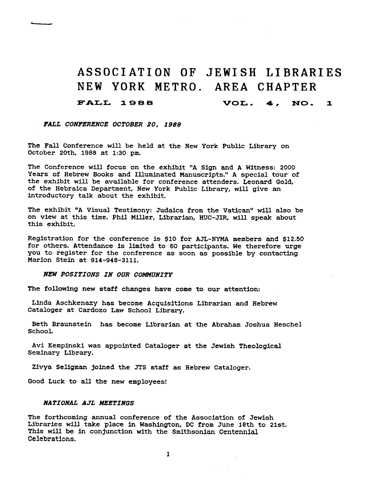# **ASSOCIATION OF JEWISH LIBRARIES NEW YORK METRO. AREA CHAPTER**

## **FALL 1988 VOL- 4, NO. 1**

*FALL CONFERENCE OCTOBER 30, 1988* 

The **Fall** Conference will be held at the New York Public Library on October 20th, **1988** at **1:30** pm.

The Conference will focus on the exhibit "A Sign and A Witness: 2000 Years of Hebrew Books and Illuminated Manuscripts." **A** special tour of the exhibit will be available for conference attenders. Leonard Gold, of the Hebraica Department, New **York** Public Library, **will** give **an**  introductory talk about the exhibit.

The exhibit **"A** Visual Testimony: Judaica from the Vatican" will **also** be on view at this time. Phil Miller, Librarian, HUC-JIR, will speak about this exhibit.

Registration **for** the conference is **\$10** for AJL-NYMA members and **\$12.50**  for others. Attendance is limited to 60 participants. **We** therefore urge you to register for the conference **as** soon **as** possible by contacting **Marion** Stein at **914-948-3111.** 

## *N'POSITIONS IN OUR COMMUNITY*

The following new staff changes **have** come to our attention:

Linda Aschkenazy has become Acquisitions Librarian and Hebrew Cataloger at Cardozo Law School Library.

Beth Braunstein has become Librarian at the Abraham Joshua Heschel School.

Avi Kempinski was appointed Cataloger **at** the Jewish Theological Seminary Library.

Zivya Seligman joined the **JTS** staff as Hebrew Cataloger.

**Good** Luck to **all the** new employees!

# *NATIONAL AJL MEETINGS*

The forthcoming annual conference of the Association of Jewish Libraries will **take** place in Washington, **DC** from June 18th to 21st. This will be **in** conjunction with the Smithsonian Centennial **Celebrations.**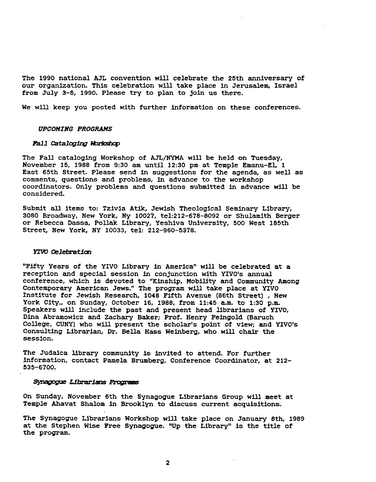The 1990 national AJL convention **will** celebrate the 25th anniversary **of**  our organization. This celebration will take place in Jerusalem, Israel from July 3-5, 1990. Please try to plan to join **us** there.

We will keep you posted with further information on these conferences.

#### *UPCOMING PROGRAMS*

#### Fall Cataloging Workshop

The Fall cataloging Workshop of **AJL/NYMA** will be held on Tuesday, November **15,** 1988 from 9:30 am until 12:30 pm **at** Temple Emanu-El, 1 **East** 65th Street. Please send in suggestions for the agenda, as well **as**  comments, questions and problems, in advance to the workshop coordinators. Only problems **and** questions submitted in advance will be considered.

Submit **all** items to: Tzivia Atik, Jewish Theological Seminary Library, **3080** Broadway, New York, Ny 10027, te1:212-678-8092 **or** Shulamith Berger or Rebecca Dassa, Pollak Library, Yeshiva University, 500 West 185th Street, New York, NY 10033, tel: 212-960-5378.

## YIVO Celebration

"Fifty Years of the YIVO Library in America" will be celebrated at a reception and special session **in** conjunction with YIVO's annual conference, which is devoted to "Kinship, Mobility and Community Among Contemporary American Jews." The program **will** take place at **YIVO**  Institute for Jewish Research, 1048 Fifth Avenue (86th Street) , New York City., on Sunday, October 16, 1988, from 11:45 a.m. to 1:30 p.m. Speakers **will** include the past and present head librarians of YIVO, Dina Abramowicz and Zachary Baker; **Prof.** Henry Feingold (Baruch College, CUNY) who **will** present the scholar's point of view; and **YIVO's**  Consulting Librarian, Dr. BeUa **Hass** Weinberg, who will **chair** the session.

The Judaica library community **Is** invited to attend. For further information, contact Pamela Brumberg, Conference Coordinator, at 212- 535-6700.

#### Synagogue Librarians Programs

On Sunday, November 6th the Synagogue Librarians Group **will** meet at Temple Ahavat Shalom in Brooklyn to discuss current acquisitions.

The Synagogue Librarians Workshop will take place on January 8th, 1989 **at** the Stephen Wise Free Synagogue. '\*Up **the** Library" is the title **of**  the program.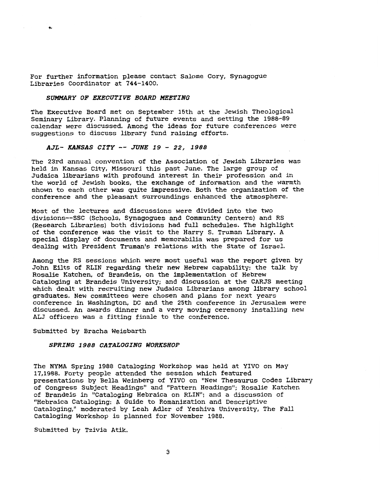For further information please contact Salome Cory, Synagogue Libraries Coordinator at **744-1400.** 

# *SUMMARY OF EXECUTIVE BOARD MEETING*

The Executive Board met on September 15th at the Jewish Theological Seminary Library. Planning of future events and setting the **1988-89**  calendar were discussed. Among the ideas **for** future conferences were suggestions to discuss library fund raising efforts.

## *AJC- KANSAS CITY* -- *JUNE 19* - **22,** *<sup>1988</sup>*

The 23rd annual convention of the Association of Jewish Libraries was held in Kansas City, Missouri this past June. The large group of Judaica librarians with profound interest in their profession and in the world of Jewish **books,** the exchange of information and the warmth shown to each other was quite impressive. Both the organization of the conference and the pleasant surroundings enhanced the atmosphere.

Most of the lectures and discussions were divided into the two divisions--SSC (Schools, Synagogues and Community Centers) and RS (Research Libraries) both divisions had full schedules. The highlight of the conference was the visit to the Harry **S.** Truman Library. **<sup>A</sup>** special display of documents and memorabilia was prepared **for** us dealing with President Truman's relations with the State of Israel.

Among the RS sessions which were most useful was the report given by John Eilts of **RLIN** regarding their new Hebrew capability; the talk by Rosalie Katchen, of Brandeis, on the implementation of Hebrew Cataloging at Brandeis University; and discussion at the **CARJS** meeting which dealt with recruiting new Judaica Librarians among library school graduates. New committees were chosen and plans for next years conference in Washington, DC and the 25th conference in Jerusalem were discussed. An awards dinner and a very moving ceremony installing new **ALJ** officers was a fitting finale to the conference.

Submitted by Bracha Weisbarth

#### *SPRING 1988 CATALOGING WORKSHOP*

The NYMA Spring **1988** Cataloging Workshop was held at YIVO on May **17,1988.** Forty people attended the session which featured presentations by Bella Weinberg of YIVO on "New Thesaurus Codes Library of Congress Subject Headings" and "Pattern Headings"; Rosalie Katchen of Brandeis in "Cataloging Hebraica on RLIN"; and **a** discussion of "Hebraica Cataloging: A Guide to Romanization and Descriptive Cataloging," moderated by Leah Adler of Yeshiva University, The **Fall**  Cataloging Workshop is planned for November **1988.** 

Submitted **by** Tzivia Atik.